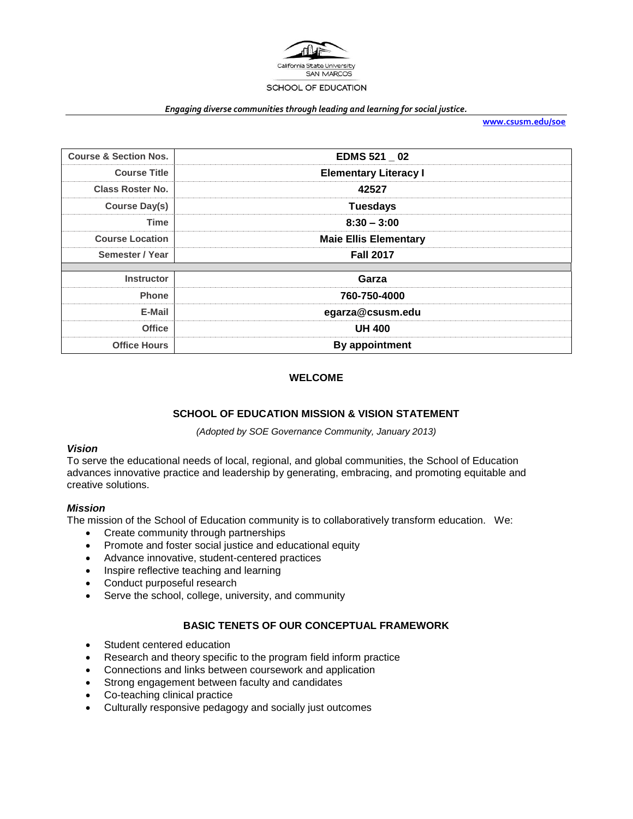

#### *Engaging diverse communities through leading and learning for social justice.*

**[www.csusm.edu/soe](http://www.csusm.edu/soe)**

| <b>EDMS 521 02</b>           |  |
|------------------------------|--|
| <b>Elementary Literacy I</b> |  |
| 42527                        |  |
| <b>Tuesdays</b>              |  |
| $8:30 - 3:00$                |  |
| <b>Maie Ellis Elementary</b> |  |
| <b>Fall 2017</b>             |  |
|                              |  |
| Garza                        |  |
| 760-750-4000                 |  |
| egarza@csusm.edu             |  |
| <b>UH 400</b>                |  |
| By appointment               |  |
|                              |  |

### **WELCOME**

### **SCHOOL OF EDUCATION MISSION & VISION STATEMENT**

*(Adopted by SOE Governance Community, January 2013)*

### *Vision*

To serve the educational needs of local, regional, and global communities, the School of Education advances innovative practice and leadership by generating, embracing, and promoting equitable and creative solutions.

#### *Mission*

The mission of the School of Education community is to collaboratively transform education. We:

- Create community through partnerships
- Promote and foster social justice and educational equity
- Advance innovative, student-centered practices
- Inspire reflective teaching and learning
- Conduct purposeful research
- Serve the school, college, university, and community

### **BASIC TENETS OF OUR CONCEPTUAL FRAMEWORK**

- Student centered education
- Research and theory specific to the program field inform practice
- Connections and links between coursework and application
- Strong engagement between faculty and candidates
- Co-teaching clinical practice
- Culturally responsive pedagogy and socially just outcomes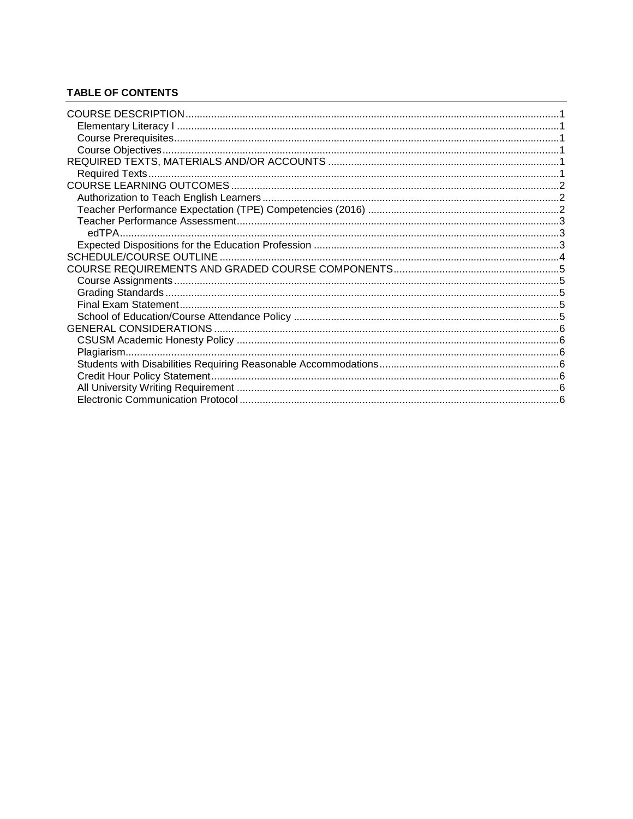# **TABLE OF CONTENTS**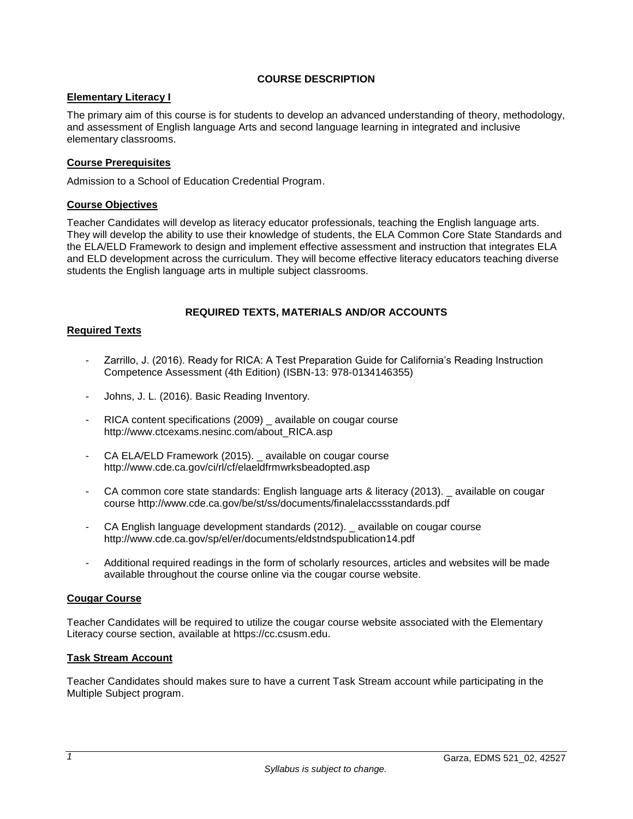# **COURSE DESCRIPTION**

## <span id="page-2-1"></span><span id="page-2-0"></span>**Elementary Literacy I**

The primary aim of this course is for students to develop an advanced understanding of theory, methodology, and assessment of English language Arts and second language learning in integrated and inclusive elementary classrooms.

# <span id="page-2-2"></span>**Course Prerequisites**

Admission to a School of Education Credential Program.

### <span id="page-2-3"></span>**Course Objectives**

Teacher Candidates will develop as literacy educator professionals, teaching the English language arts. They will develop the ability to use their knowledge of students, the ELA Common Core State Standards and the ELA/ELD Framework to design and implement effective assessment and instruction that integrates ELA and ELD development across the curriculum. They will become effective literacy educators teaching diverse students the English language arts in multiple subject classrooms.

### **REQUIRED TEXTS, MATERIALS AND/OR ACCOUNTS**

### <span id="page-2-5"></span><span id="page-2-4"></span>**Required Texts**

- Zarrillo, J. (2016). Ready for RICA: A Test Preparation Guide for California's Reading Instruction Competence Assessment (4th Edition) (ISBN-13: 978-0134146355)
- Johns, J. L. (2016). Basic Reading Inventory.
- RICA content specifications (2009) \_ available on cougar course http://www.ctcexams.nesinc.com/about\_RICA.asp
- CA ELA/ELD Framework (2015). available on cougar course http://www.cde.ca.gov/ci/rl/cf/elaeldfrmwrksbeadopted.asp
- CA common core state standards: English language arts & literacy (2013). \_ available on cougar course http://www.cde.ca.gov/be/st/ss/documents/finalelaccssstandards.pdf
- CA English language development standards (2012). available on cougar course http://www.cde.ca.gov/sp/el/er/documents/eldstndspublication14.pdf
- Additional required readings in the form of scholarly resources, articles and websites will be made available throughout the course online via the cougar course website.

### **Cougar Course**

Teacher Candidates will be required to utilize the cougar course website associated with the Elementary Literacy course section, available at https://cc.csusm.edu.

### **Task Stream Account**

Teacher Candidates should makes sure to have a current Task Stream account while participating in the Multiple Subject program.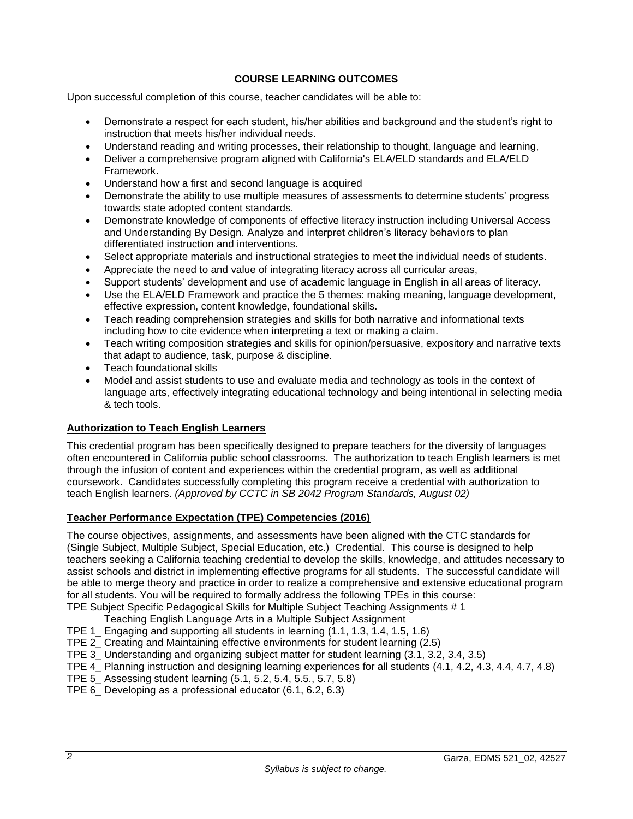# **COURSE LEARNING OUTCOMES**

<span id="page-3-0"></span>Upon successful completion of this course, teacher candidates will be able to:

- Demonstrate a respect for each student, his/her abilities and background and the student's right to instruction that meets his/her individual needs.
- Understand reading and writing processes, their relationship to thought, language and learning,
- Deliver a comprehensive program aligned with California's ELA/ELD standards and ELA/ELD Framework.
- Understand how a first and second language is acquired
- Demonstrate the ability to use multiple measures of assessments to determine students' progress towards state adopted content standards.
- Demonstrate knowledge of components of effective literacy instruction including Universal Access and Understanding By Design. Analyze and interpret children's literacy behaviors to plan differentiated instruction and interventions.
- Select appropriate materials and instructional strategies to meet the individual needs of students.
- Appreciate the need to and value of integrating literacy across all curricular areas,
- Support students' development and use of academic language in English in all areas of literacy.
- Use the ELA/ELD Framework and practice the 5 themes: making meaning, language development, effective expression, content knowledge, foundational skills.
- Teach reading comprehension strategies and skills for both narrative and informational texts including how to cite evidence when interpreting a text or making a claim.
- Teach writing composition strategies and skills for opinion/persuasive, expository and narrative texts that adapt to audience, task, purpose & discipline.
- Teach foundational skills
- Model and assist students to use and evaluate media and technology as tools in the context of language arts, effectively integrating educational technology and being intentional in selecting media & tech tools.

### <span id="page-3-1"></span>**Authorization to Teach English Learners**

This credential program has been specifically designed to prepare teachers for the diversity of languages often encountered in California public school classrooms. The authorization to teach English learners is met through the infusion of content and experiences within the credential program, as well as additional coursework. Candidates successfully completing this program receive a credential with authorization to teach English learners. *(Approved by CCTC in SB 2042 Program Standards, August 02)*

### <span id="page-3-2"></span>**Teacher Performance Expectation (TPE) Competencies (2016)**

The course objectives, assignments, and assessments have been aligned with the CTC standards for (Single Subject, Multiple Subject, Special Education, etc.) Credential. This course is designed to help teachers seeking a California teaching credential to develop the skills, knowledge, and attitudes necessary to assist schools and district in implementing effective programs for all students. The successful candidate will be able to merge theory and practice in order to realize a comprehensive and extensive educational program for all students. You will be required to formally address the following TPEs in this course: TPE Subject Specific Pedagogical Skills for Multiple Subject Teaching Assignments # 1

- Teaching English Language Arts in a Multiple Subject Assignment
- TPE 1 Engaging and supporting all students in learning (1.1, 1.3, 1.4, 1.5, 1.6)
- TPE 2\_ Creating and Maintaining effective environments for student learning (2.5)
- TPE 3\_ Understanding and organizing subject matter for student learning (3.1, 3.2, 3.4, 3.5)
- TPE 4 Planning instruction and designing learning experiences for all students (4.1, 4.2, 4.3, 4.4, 4.7, 4.8)
- TPE 5\_ Assessing student learning (5.1, 5.2, 5.4, 5.5., 5.7, 5.8)
- TPE 6\_ Developing as a professional educator (6.1, 6.2, 6.3)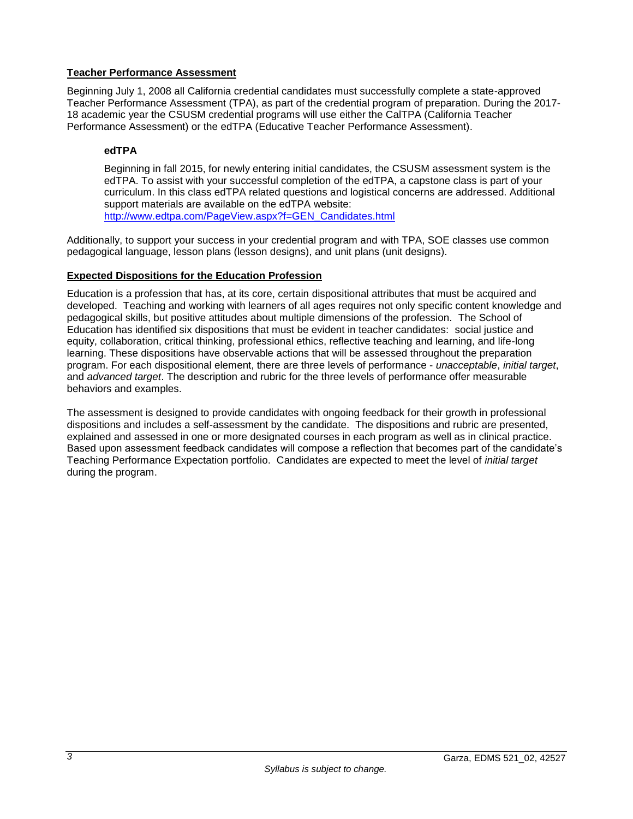# <span id="page-4-0"></span>**Teacher Performance Assessment**

Beginning July 1, 2008 all California credential candidates must successfully complete a state-approved Teacher Performance Assessment (TPA), as part of the credential program of preparation. During the 2017- 18 academic year the CSUSM credential programs will use either the CalTPA (California Teacher Performance Assessment) or the edTPA (Educative Teacher Performance Assessment).

# <span id="page-4-1"></span>**edTPA**

Beginning in fall 2015, for newly entering initial candidates, the CSUSM assessment system is the edTPA. To assist with your successful completion of the edTPA, a capstone class is part of your curriculum. In this class edTPA related questions and logistical concerns are addressed. Additional support materials are available on the edTPA website: [http://www.edtpa.com/PageView.aspx?f=GEN\\_Candidates.html](http://www.edtpa.com/PageView.aspx?f=GEN_Candidates.html)

Additionally, to support your success in your credential program and with TPA, SOE classes use common pedagogical language, lesson plans (lesson designs), and unit plans (unit designs).

# <span id="page-4-2"></span>**Expected Dispositions for the Education Profession**

Education is a profession that has, at its core, certain dispositional attributes that must be acquired and developed. Teaching and working with learners of all ages requires not only specific content knowledge and pedagogical skills, but positive attitudes about multiple dimensions of the profession. The School of Education has identified six dispositions that must be evident in teacher candidates: social justice and equity, collaboration, critical thinking, professional ethics, reflective teaching and learning, and life-long learning. These dispositions have observable actions that will be assessed throughout the preparation program. For each dispositional element, there are three levels of performance - *unacceptable*, *initial target*, and *advanced target*. The description and rubric for the three levels of performance offer measurable behaviors and examples.

The assessment is designed to provide candidates with ongoing feedback for their growth in professional dispositions and includes a self-assessment by the candidate. The dispositions and rubric are presented, explained and assessed in one or more designated courses in each program as well as in clinical practice. Based upon assessment feedback candidates will compose a reflection that becomes part of the candidate's Teaching Performance Expectation portfolio. Candidates are expected to meet the level of *initial target* during the program.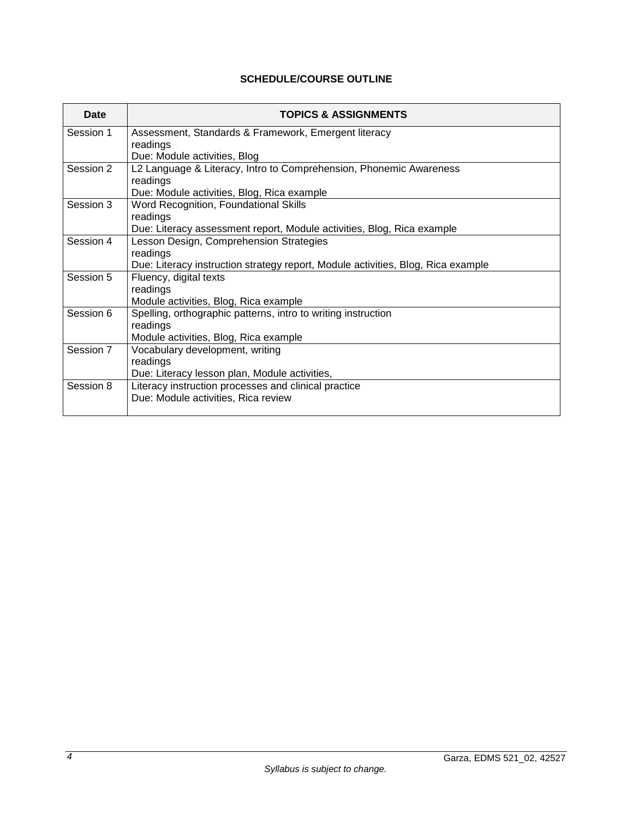# **SCHEDULE/COURSE OUTLINE**

<span id="page-5-0"></span>

| Date      | <b>TOPICS &amp; ASSIGNMENTS</b>                                                  |
|-----------|----------------------------------------------------------------------------------|
| Session 1 | Assessment, Standards & Framework, Emergent literacy                             |
|           | readings                                                                         |
|           | Due: Module activities, Blog                                                     |
| Session 2 | L2 Language & Literacy, Intro to Comprehension, Phonemic Awareness               |
|           | readings                                                                         |
|           | Due: Module activities, Blog, Rica example                                       |
| Session 3 | Word Recognition, Foundational Skills                                            |
|           | readings                                                                         |
|           | Due: Literacy assessment report, Module activities, Blog, Rica example           |
| Session 4 | Lesson Design, Comprehension Strategies                                          |
|           | readings                                                                         |
|           | Due: Literacy instruction strategy report, Module activities, Blog, Rica example |
| Session 5 | Fluency, digital texts                                                           |
|           | readings                                                                         |
|           | Module activities, Blog, Rica example                                            |
| Session 6 | Spelling, orthographic patterns, intro to writing instruction                    |
|           | readings                                                                         |
|           | Module activities, Blog, Rica example                                            |
| Session 7 | Vocabulary development, writing                                                  |
|           | readings                                                                         |
|           | Due: Literacy lesson plan, Module activities,                                    |
| Session 8 | Literacy instruction processes and clinical practice                             |
|           | Due: Module activities, Rica review                                              |
|           |                                                                                  |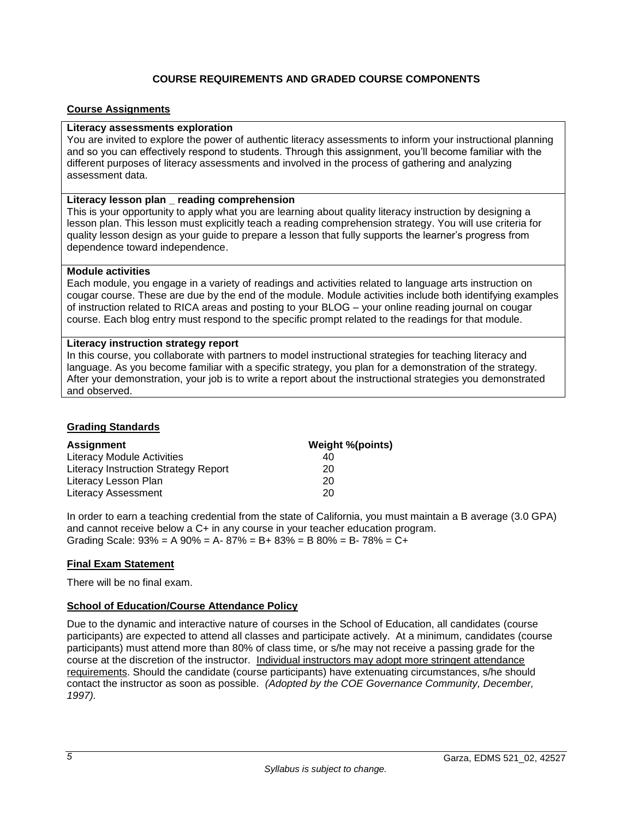# **COURSE REQUIREMENTS AND GRADED COURSE COMPONENTS**

### <span id="page-6-1"></span><span id="page-6-0"></span>**Course Assignments**

### **Literacy assessments exploration**

You are invited to explore the power of authentic literacy assessments to inform your instructional planning and so you can effectively respond to students. Through this assignment, you'll become familiar with the different purposes of literacy assessments and involved in the process of gathering and analyzing assessment data.

### **Literacy lesson plan \_ reading comprehension**

This is your opportunity to apply what you are learning about quality literacy instruction by designing a lesson plan. This lesson must explicitly teach a reading comprehension strategy. You will use criteria for quality lesson design as your guide to prepare a lesson that fully supports the learner's progress from dependence toward independence.

### **Module activities**

Each module, you engage in a variety of readings and activities related to language arts instruction on cougar course. These are due by the end of the module. Module activities include both identifying examples of instruction related to RICA areas and posting to your BLOG – your online reading journal on cougar course. Each blog entry must respond to the specific prompt related to the readings for that module.

### **Literacy instruction strategy report**

In this course, you collaborate with partners to model instructional strategies for teaching literacy and language. As you become familiar with a specific strategy, you plan for a demonstration of the strategy. After your demonstration, your job is to write a report about the instructional strategies you demonstrated and observed.

### <span id="page-6-2"></span>**Grading Standards**

| <b>Assignment</b>                    | Weight %(points) |
|--------------------------------------|------------------|
| Literacy Module Activities           | 40               |
| Literacy Instruction Strategy Report | 20               |
| Literacy Lesson Plan                 | 20               |
| <b>Literacy Assessment</b>           | 20               |

In order to earn a teaching credential from the state of California, you must maintain a B average (3.0 GPA) and cannot receive below a C+ in any course in your teacher education program. Grading Scale:  $93\% = A\,90\% = A - 87\% = B + 83\% = B\,80\% = B - 78\% = C +$ 

### <span id="page-6-3"></span>**Final Exam Statement**

There will be no final exam.

### <span id="page-6-4"></span>**School of Education/Course Attendance Policy**

Due to the dynamic and interactive nature of courses in the School of Education, all candidates (course participants) are expected to attend all classes and participate actively. At a minimum, candidates (course participants) must attend more than 80% of class time, or s/he may not receive a passing grade for the course at the discretion of the instructor. Individual instructors may adopt more stringent attendance requirements. Should the candidate (course participants) have extenuating circumstances, s/he should contact the instructor as soon as possible. *(Adopted by the COE Governance Community, December, 1997).*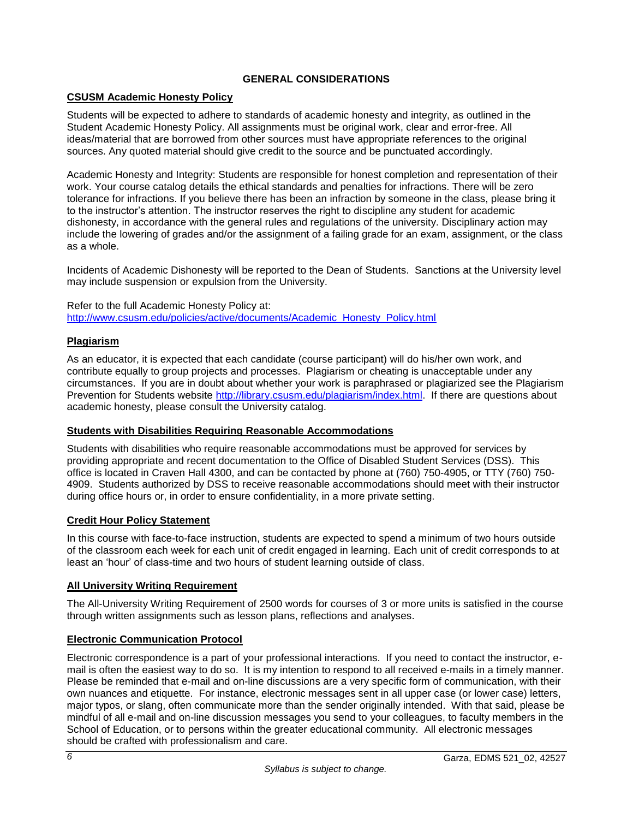# **GENERAL CONSIDERATIONS**

# <span id="page-7-1"></span><span id="page-7-0"></span>**CSUSM Academic Honesty Policy**

Students will be expected to adhere to standards of academic honesty and integrity, as outlined in the Student Academic Honesty Policy. All assignments must be original work, clear and error-free. All ideas/material that are borrowed from other sources must have appropriate references to the original sources. Any quoted material should give credit to the source and be punctuated accordingly.

Academic Honesty and Integrity: Students are responsible for honest completion and representation of their work. Your course catalog details the ethical standards and penalties for infractions. There will be zero tolerance for infractions. If you believe there has been an infraction by someone in the class, please bring it to the instructor's attention. The instructor reserves the right to discipline any student for academic dishonesty, in accordance with the general rules and regulations of the university. Disciplinary action may include the lowering of grades and/or the assignment of a failing grade for an exam, assignment, or the class as a whole.

Incidents of Academic Dishonesty will be reported to the Dean of Students. Sanctions at the University level may include suspension or expulsion from the University.

Refer to the full Academic Honesty Policy at: [http://www.csusm.edu/policies/active/documents/Academic\\_Honesty\\_Policy.html](http://www.csusm.edu/policies/active/documents/Academic_Honesty_Policy.html)

### <span id="page-7-2"></span>**Plagiarism**

As an educator, it is expected that each candidate (course participant) will do his/her own work, and contribute equally to group projects and processes. Plagiarism or cheating is unacceptable under any circumstances. If you are in doubt about whether your work is paraphrased or plagiarized see the Plagiarism Prevention for Students website [http://library.csusm.edu/plagiarism/index.html.](http://library.csusm.edu/plagiarism/index.html) If there are questions about academic honesty, please consult the University catalog.

### <span id="page-7-3"></span>**Students with Disabilities Requiring Reasonable Accommodations**

Students with disabilities who require reasonable accommodations must be approved for services by providing appropriate and recent documentation to the Office of Disabled Student Services (DSS). This office is located in Craven Hall 4300, and can be contacted by phone at (760) 750-4905, or TTY (760) 750- 4909. Students authorized by DSS to receive reasonable accommodations should meet with their instructor during office hours or, in order to ensure confidentiality, in a more private setting.

### <span id="page-7-4"></span>**Credit Hour Policy Statement**

In this course with face-to-face instruction, students are expected to spend a minimum of two hours outside of the classroom each week for each unit of credit engaged in learning. Each unit of credit corresponds to at least an 'hour' of class-time and two hours of student learning outside of class.

### <span id="page-7-5"></span>**All University Writing Requirement**

The All-University Writing Requirement of 2500 words for courses of 3 or more units is satisfied in the course through written assignments such as lesson plans, reflections and analyses.

### <span id="page-7-6"></span>**Electronic Communication Protocol**

Electronic correspondence is a part of your professional interactions. If you need to contact the instructor, email is often the easiest way to do so. It is my intention to respond to all received e-mails in a timely manner. Please be reminded that e-mail and on-line discussions are a very specific form of communication, with their own nuances and etiquette. For instance, electronic messages sent in all upper case (or lower case) letters, major typos, or slang, often communicate more than the sender originally intended. With that said, please be mindful of all e-mail and on-line discussion messages you send to your colleagues, to faculty members in the School of Education, or to persons within the greater educational community. All electronic messages should be crafted with professionalism and care.